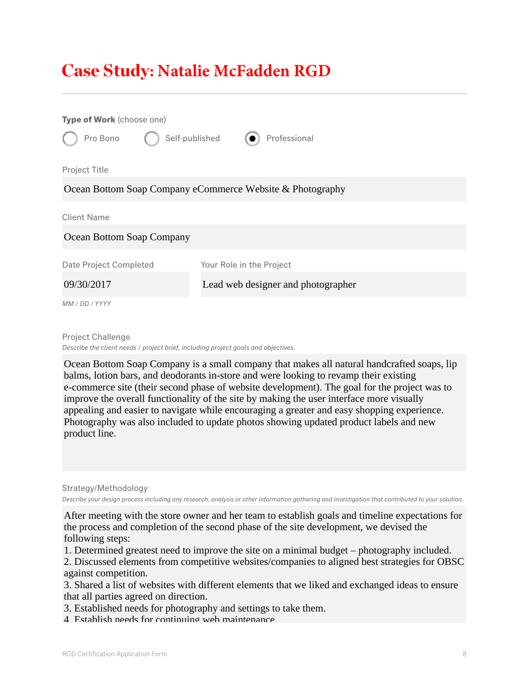## Case Study**: Natalie McFadden RGD**

| Type of Work (choose one)                                 |                                    |
|-----------------------------------------------------------|------------------------------------|
| Self-published<br>Pro Bono                                | Professional                       |
| Project Title                                             |                                    |
| Ocean Bottom Soap Company eCommerce Website & Photography |                                    |
| <b>Client Name</b>                                        |                                    |
| Ocean Bottom Soap Company                                 |                                    |
| Date Project Completed                                    | Your Role in the Project           |
| 09/30/2017                                                | Lead web designer and photographer |
| MM / DD / YYYY                                            |                                    |

Project Challenge

*Describe the client needs / project brief, including project goals and objectives.*

Ocean Bottom Soap Company is a small company that makes all natural handcrafted soaps, lip balms, lotion bars, and deodorants in-store and were looking to revamp their existing e-commerce site (their second phase of website development). The goal for the project was to improve the overall functionality of the site by making the user interface more visually appealing and easier to navigate while encouraging a greater and easy shopping experience. Photography was also included to update photos showing updated product labels and new product line.

Strategy/Methodology *Describe your design process including any research, analysis or other information gathering and investigation that contributed to your solution.*

After meeting with the store owner and her team to establish goals and timeline expectations for the process and completion of the second phase of the site development, we devised the following steps:

1. Determined greatest need to improve the site on a minimal budget – photography included.

2. Discussed elements from competitive websites/companies to aligned best strategies for OBSC against competition.

3. Shared a list of websites with different elements that we liked and exchanged ideas to ensure that all parties agreed on direction.

3. Established needs for photography and settings to take them.

4. Establish needs for continuing web maintenance.